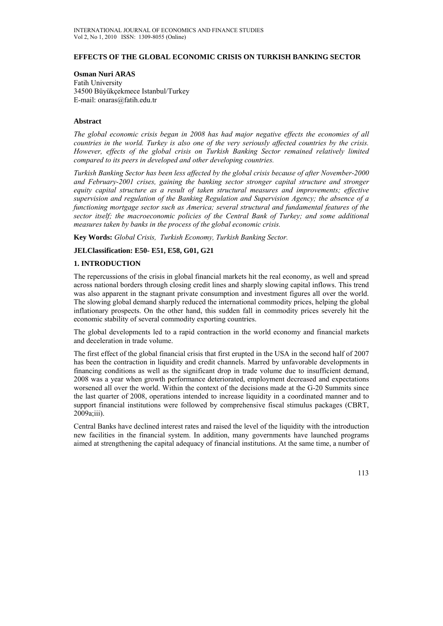### **EFFECTS OF THE GLOBAL ECONOMIC CRISIS ON TURKISH BANKING SECTOR**

### **Osman Nuri ARAS**

Fatih University 34500 Büyükçekmece Istanbul/Turkey E-mail: onaras@fatih.edu.tr

### **Abstract**

*The global economic crisis began in 2008 has had major negative effects the economies of all countries in the world. Turkey is also one of the very seriously affected countries by the crisis. However, effects of the global crisis on Turkish Banking Sector remained relatively limited compared to its peers in developed and other developing countries.* 

*Turkish Banking Sector has been less affected by the global crisis because of after November-2000 and February-2001 crises, gaining the banking sector stronger capital structure and stronger equity capital structure as a result of taken structural measures and improvements; effective supervision and regulation of the Banking Regulation and Supervision Agency; the absence of a functioning mortgage sector such as America; several structural and fundamental features of the sector itself; the macroeconomic policies of the Central Bank of Turkey; and some additional measures taken by banks in the process of the global economic crisis.*

**Key Words:** *Global Crisis, Turkish Economy, Turkish Banking Sector.*

## **JELClassification: E50- E51, E58, G01, G21**

### **1. INTRODUCTION**

The repercussions of the crisis in global financial markets hit the real economy, as well and spread across national borders through closing credit lines and sharply slowing capital inflows. This trend was also apparent in the stagnant private consumption and investment figures all over the world. The slowing global demand sharply reduced the international commodity prices, helping the global inflationary prospects. On the other hand, this sudden fall in commodity prices severely hit the economic stability of several commodity exporting countries.

The global developments led to a rapid contraction in the world economy and financial markets and deceleration in trade volume.

The first effect of the global financial crisis that first erupted in the USA in the second half of 2007 has been the contraction in liquidity and credit channels. Marred by unfavorable developments in financing conditions as well as the significant drop in trade volume due to insufficient demand, 2008 was a year when growth performance deteriorated, employment decreased and expectations worsened all over the world. Within the context of the decisions made at the G-20 Summits since the last quarter of 2008, operations intended to increase liquidity in a coordinated manner and to support financial institutions were followed by comprehensive fiscal stimulus packages (CBRT, 2009a;iii).

Central Banks have declined interest rates and raised the level of the liquidity with the introduction new facilities in the financial system. In addition, many governments have launched programs aimed at strengthening the capital adequacy of financial institutions. At the same time, a number of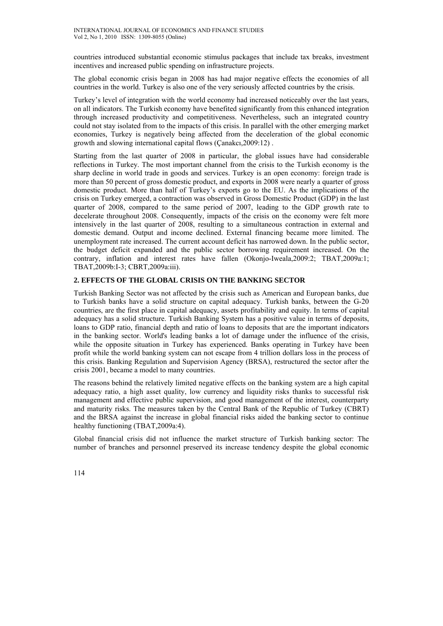countries introduced substantial economic stimulus packages that include tax breaks, investment incentives and increased public spending on infrastructure projects.

The global economic crisis began in 2008 has had major negative effects the economies of all countries in the world. Turkey is also one of the very seriously affected countries by the crisis.

Turkey's level of integration with the world economy had increased noticeably over the last years, on all indicators. The Turkish economy have benefited significantly from this enhanced integration through increased productivity and competitiveness. Nevertheless, such an integrated country could not stay isolated from to the impacts of this crisis. In parallel with the other emerging market economies, Turkey is negatively being affected from the deceleration of the global economic growth and slowing international capital flows (Çanakcı,2009:12) .

Starting from the last quarter of 2008 in particular, the global issues have had considerable reflections in Turkey. The most important channel from the crisis to the Turkish economy is the sharp decline in world trade in goods and services. Turkey is an open economy: foreign trade is more than 50 percent of gross domestic product, and exports in 2008 were nearly a quarter of gross domestic product. More than half of Turkey's exports go to the EU. As the implications of the crisis on Turkey emerged, a contraction was observed in Gross Domestic Product (GDP) in the last quarter of 2008, compared to the same period of 2007, leading to the GDP growth rate to decelerate throughout 2008. Consequently, impacts of the crisis on the economy were felt more intensively in the last quarter of 2008, resulting to a simultaneous contraction in external and domestic demand. Output and income declined. External financing became more limited. The unemployment rate increased. The current account deficit has narrowed down. In the public sector, the budget deficit expanded and the public sector borrowing requirement increased. On the contrary, inflation and interest rates have fallen (Okonjo-Iweala,2009:2; TBAT,2009a:1; TBAT,2009b:I-3; CBRT,2009a:iii).

# **2. EFFECTS OF THE GLOBAL CRISIS ON THE BANKING SECTOR**

Turkish Banking Sector was not affected by the crisis such as American and European banks, due to Turkish banks have a solid structure on capital adequacy. Turkish banks, between the G-20 countries, are the first place in capital adequacy, assets profitability and equity. In terms of capital adequacy has a solid structure. Turkish Banking System has a positive value in terms of deposits, loans to GDP ratio, financial depth and ratio of loans to deposits that are the important indicators in the banking sector. World's leading banks a lot of damage under the influence of the crisis, while the opposite situation in Turkey has experienced. Banks operating in Turkey have been profit while the world banking system can not escape from 4 trillion dollars loss in the process of this crisis. Banking Regulation and Supervision Agency (BRSA), restructured the sector after the crisis 2001, became a model to many countries.

The reasons behind the relatively limited negative effects on the banking system are a high capital adequacy ratio, a high asset quality, low currency and liquidity risks thanks to successful risk management and effective public supervision, and good management of the interest, counterparty and maturity risks. The measures taken by the Central Bank of the Republic of Turkey (CBRT) and the BRSA against the increase in global financial risks aided the banking sector to continue healthy functioning (TBAT,2009a:4).

Global financial crisis did not influence the market structure of Turkish banking sector: The number of branches and personnel preserved its increase tendency despite the global economic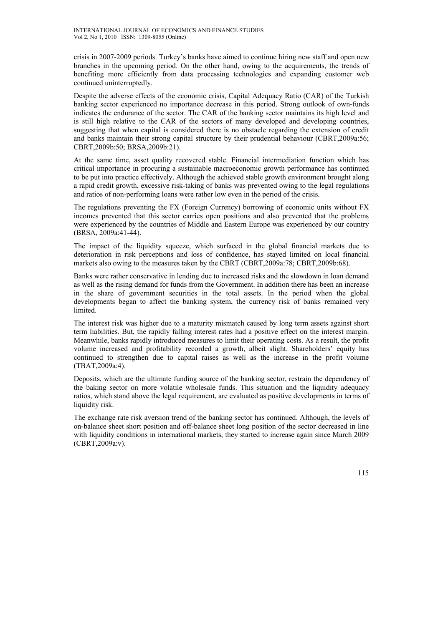crisis in 2007-2009 periods. Turkey's banks have aimed to continue hiring new staff and open new branches in the upcoming period. On the other hand, owing to the acquirements, the trends of benefiting more efficiently from data processing technologies and expanding customer web continued uninterruptedly.

Despite the adverse effects of the economic crisis, Capital Adequacy Ratio (CAR) of the Turkish banking sector experienced no importance decrease in this period. Strong outlook of own-funds indicates the endurance of the sector. The CAR of the banking sector maintains its high level and is still high relative to the CAR of the sectors of many developed and developing countries, suggesting that when capital is considered there is no obstacle regarding the extension of credit and banks maintain their strong capital structure by their prudential behaviour (CBRT,2009a:56; CBRT,2009b:50; BRSA,2009b:21).

At the same time, asset quality recovered stable. Financial intermediation function which has critical importance in procuring a sustainable macroeconomic growth performance has continued to be put into practice effectively. Although the achieved stable growth environment brought along a rapid credit growth, excessive risk-taking of banks was prevented owing to the legal regulations and ratios of non-performing loans were rather low even in the period of the crisis.

The regulations preventing the FX (Foreign Currency) borrowing of economic units without FX incomes prevented that this sector carries open positions and also prevented that the problems were experienced by the countries of Middle and Eastern Europe was experienced by our country (BRSA, 2009a:41-44).

The impact of the liquidity squeeze, which surfaced in the global financial markets due to deterioration in risk perceptions and loss of confidence, has stayed limited on local financial markets also owing to the measures taken by the CBRT (CBRT,2009a:78; CBRT,2009b:68).

Banks were rather conservative in lending due to increased risks and the slowdown in loan demand as well as the rising demand for funds from the Government. In addition there has been an increase in the share of government securities in the total assets. In the period when the global developments began to affect the banking system, the currency risk of banks remained very limited.

The interest risk was higher due to a maturity mismatch caused by long term assets against short term liabilities. But, the rapidly falling interest rates had a positive effect on the interest margin. Meanwhile, banks rapidly introduced measures to limit their operating costs. As a result, the profit volume increased and profitability recorded a growth, albeit slight. Shareholders' equity has continued to strengthen due to capital raises as well as the increase in the profit volume (TBAT,2009a:4).

Deposits, which are the ultimate funding source of the banking sector, restrain the dependency of the baking sector on more volatile wholesale funds. This situation and the liquidity adequacy ratios, which stand above the legal requirement, are evaluated as positive developments in terms of liquidity risk.

The exchange rate risk aversion trend of the banking sector has continued. Although, the levels of on-balance sheet short position and off-balance sheet long position of the sector decreased in line with liquidity conditions in international markets, they started to increase again since March 2009 (CBRT,2009a:v).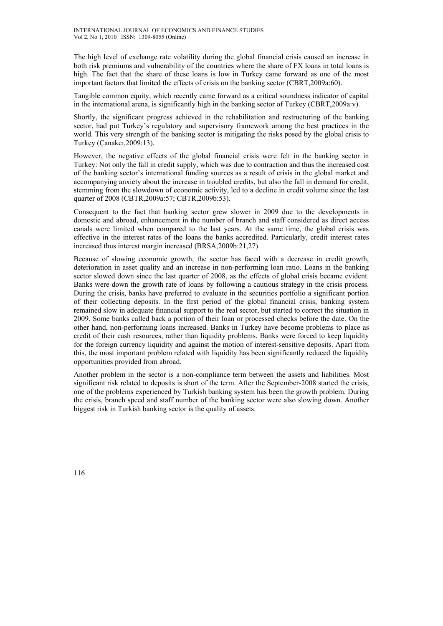The high level of exchange rate volatility during the global financial crisis caused an increase in both risk premiums and vulnerability of the countries where the share of FX loans in total loans is high. The fact that the share of these loans is low in Turkey came forward as one of the most important factors that limited the effects of crisis on the banking sector (CBRT,2009a:60).

Tangible common equity, which recently came forward as a critical soundness indicator of capital in the international arena, is significantly high in the banking sector of Turkey (CBRT,2009a:v).

Shortly, the significant progress achieved in the rehabilitation and restructuring of the banking sector, had put Turkey's regulatory and supervisory framework among the best practices in the world. This very strength of the banking sector is mitigating the risks posed by the global crisis to Turkey (Çanakcı,2009:13).

However, the negative effects of the global financial crisis were felt in the banking sector in Turkey: Not only the fall in credit supply, which was due to contraction and thus the increased cost of the banking sector's international funding sources as a result of crisis in the global market and accompanying anxiety about the increase in troubled credits, but also the fall in demand for credit, stemming from the slowdown of economic activity, led to a decline in credit volume since the last quarter of 2008 (CBTR,2009a:57; CBTR,2009b:53).

Consequent to the fact that banking sector grew slower in 2009 due to the developments in domestic and abroad, enhancement in the number of branch and staff considered as direct access canals were limited when compared to the last years. At the same time, the global crisis was effective in the interest rates of the loans the banks accredited. Particularly, credit interest rates increased thus interest margin increased (BRSA,2009b:21,27).

Because of slowing economic growth, the sector has faced with a decrease in credit growth, deterioration in asset quality and an increase in non-performing loan ratio. Loans in the banking sector slowed down since the last quarter of 2008, as the effects of global crisis became evident. Banks were down the growth rate of loans by following a cautious strategy in the crisis process. During the crisis, banks have preferred to evaluate in the securities portfolio a significant portion of their collecting deposits. In the first period of the global financial crisis, banking system remained slow in adequate financial support to the real sector, but started to correct the situation in 2009. Some banks called back a portion of their loan or processed checks before the date. On the other hand, non-performing loans increased. Banks in Turkey have become problems to place as credit of their cash resources, rather than liquidity problems. Banks were forced to keep liquidity for the foreign currency liquidity and against the motion of interest-sensitive deposits. Apart from this, the most important problem related with liquidity has been significantly reduced the liquidity opportunities provided from abroad.

Another problem in the sector is a non-compliance term between the assets and liabilities. Most significant risk related to deposits is short of the term. After the September-2008 started the crisis, one of the problems experienced by Turkish banking system has been the growth problem. During the crisis, branch speed and staff number of the banking sector were also slowing down. Another biggest risk in Turkish banking sector is the quality of assets.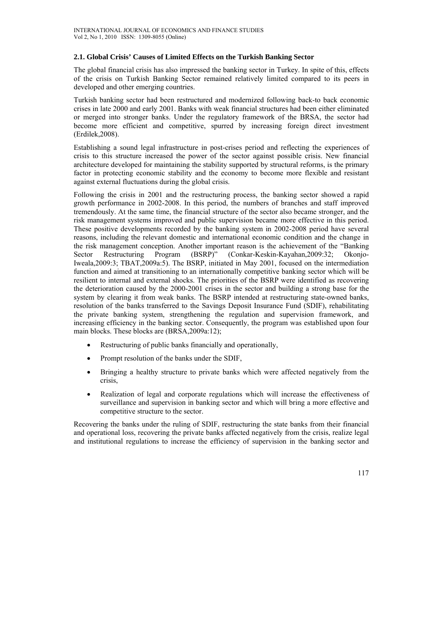## **2.1. Global Crisis' Causes of Limited Effects on the Turkish Banking Sector**

The global financial crisis has also impressed the banking sector in Turkey. In spite of this, effects of the crisis on Turkish Banking Sector remained relatively limited compared to its peers in developed and other emerging countries.

Turkish banking sector had been restructured and modernized following back-to back economic crises in late 2000 and early 2001. Banks with weak financial structures had been either eliminated or merged into stronger banks. Under the regulatory framework of the BRSA, the sector had become more efficient and competitive, spurred by increasing foreign direct investment (Erdilek,2008).

Establishing a sound legal infrastructure in post-crises period and reflecting the experiences of crisis to this structure increased the power of the sector against possible crisis. New financial architecture developed for maintaining the stability supported by structural reforms, is the primary factor in protecting economic stability and the economy to become more flexible and resistant against external fluctuations during the global crisis.

Following the crisis in 2001 and the restructuring process, the banking sector showed a rapid growth performance in 2002-2008. In this period, the numbers of branches and staff improved tremendously. At the same time, the financial structure of the sector also became stronger, and the risk management systems improved and public supervision became more effective in this period. These positive developments recorded by the banking system in 2002-2008 period have several reasons, including the relevant domestic and international economic condition and the change in the risk management conception. Another important reason is the achievement of the "Banking Sector Restructuring Program (BSRP)" (Conkar-Keskin-Kayahan,2009:32; Okonjo-Iweala,2009:3; TBAT,2009a:5). The BSRP, initiated in May 2001, focused on the intermediation function and aimed at transitioning to an internationally competitive banking sector which will be resilient to internal and external shocks. The priorities of the BSRP were identified as recovering the deterioration caused by the 2000-2001 crises in the sector and building a strong base for the system by clearing it from weak banks. The BSRP intended at restructuring state-owned banks, resolution of the banks transferred to the Savings Deposit Insurance Fund (SDIF), rehabilitating the private banking system, strengthening the regulation and supervision framework, and increasing efficiency in the banking sector. Consequently, the program was established upon four main blocks. These blocks are (BRSA,2009a:12);

- Restructuring of public banks financially and operationally,
- Prompt resolution of the banks under the SDIF,
- Bringing a healthy structure to private banks which were affected negatively from the crisis,
- Realization of legal and corporate regulations which will increase the effectiveness of surveillance and supervision in banking sector and which will bring a more effective and competitive structure to the sector.

Recovering the banks under the ruling of SDIF, restructuring the state banks from their financial and operational loss, recovering the private banks affected negatively from the crisis, realize legal and institutional regulations to increase the efficiency of supervision in the banking sector and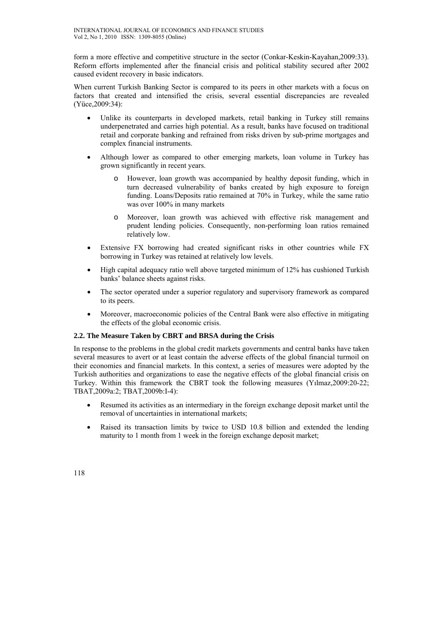form a more effective and competitive structure in the sector (Conkar-Keskin-Kayahan,2009:33). Reform efforts implemented after the financial crisis and political stability secured after 2002 caused evident recovery in basic indicators.

When current Turkish Banking Sector is compared to its peers in other markets with a focus on factors that created and intensified the crisis, several essential discrepancies are revealed (Yüce,2009:34):

- Unlike its counterparts in developed markets, retail banking in Turkey still remains underpenetrated and carries high potential. As a result, banks have focused on traditional retail and corporate banking and refrained from risks driven by sub-prime mortgages and complex financial instruments.
- Although lower as compared to other emerging markets, loan volume in Turkey has grown significantly in recent years.
	- o However, loan growth was accompanied by healthy deposit funding, which in turn decreased vulnerability of banks created by high exposure to foreign funding. Loans/Deposits ratio remained at 70% in Turkey, while the same ratio was over 100% in many markets
	- o Moreover, loan growth was achieved with effective risk management and prudent lending policies. Consequently, non-performing loan ratios remained relatively low.
- Extensive FX borrowing had created significant risks in other countries while FX borrowing in Turkey was retained at relatively low levels.
- High capital adequacy ratio well above targeted minimum of 12% has cushioned Turkish banks' balance sheets against risks.
- The sector operated under a superior regulatory and supervisory framework as compared to its peers.
- Moreover, macroeconomic policies of the Central Bank were also effective in mitigating the effects of the global economic crisis.

## **2.2. The Measure Taken by CBRT and BRSA during the Crisis**

In response to the problems in the global credit markets governments and central banks have taken several measures to avert or at least contain the adverse effects of the global financial turmoil on their economies and financial markets. In this context, a series of measures were adopted by the Turkish authorities and organizations to ease the negative effects of the global financial crisis on Turkey. Within this framework the CBRT took the following measures (Yılmaz,2009:20-22; TBAT,2009a:2; TBAT,2009b:I-4):

- Resumed its activities as an intermediary in the foreign exchange deposit market until the removal of uncertainties in international markets;
- Raised its transaction limits by twice to USD 10.8 billion and extended the lending maturity to 1 month from 1 week in the foreign exchange deposit market;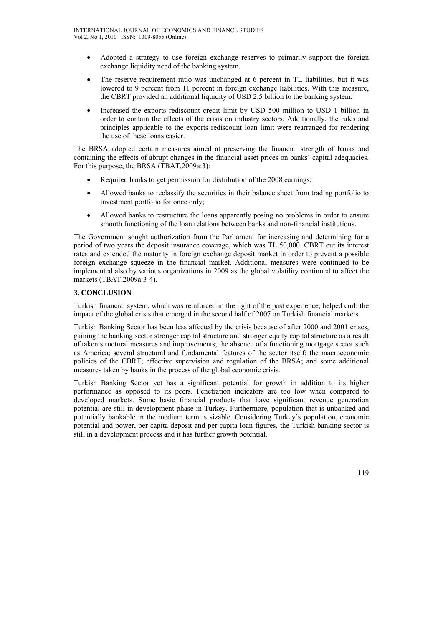- Adopted a strategy to use foreign exchange reserves to primarily support the foreign exchange liquidity need of the banking system.
- The reserve requirement ratio was unchanged at 6 percent in TL liabilities, but it was lowered to 9 percent from 11 percent in foreign exchange liabilities. With this measure, the CBRT provided an additional liquidity of USD 2.5 billion to the banking system;
- Increased the exports rediscount credit limit by USD 500 million to USD 1 billion in order to contain the effects of the crisis on industry sectors. Additionally, the rules and principles applicable to the exports rediscount loan limit were rearranged for rendering the use of these loans easier.

The BRSA adopted certain measures aimed at preserving the financial strength of banks and containing the effects of abrupt changes in the financial asset prices on banks' capital adequacies. For this purpose, the BRSA (TBAT,2009a:3):

- Required banks to get permission for distribution of the 2008 earnings;
- Allowed banks to reclassify the securities in their balance sheet from trading portfolio to investment portfolio for once only;
- Allowed banks to restructure the loans apparently posing no problems in order to ensure smooth functioning of the loan relations between banks and non-financial institutions.

The Government sought authorization from the Parliament for increasing and determining for a period of two years the deposit insurance coverage, which was TL 50,000. CBRT cut its interest rates and extended the maturity in foreign exchange deposit market in order to prevent a possible foreign exchange squeeze in the financial market. Additional measures were continued to be implemented also by various organizations in 2009 as the global volatility continued to affect the markets (TBAT,2009a:3-4).

## **3. CONCLUSION**

Turkish financial system, which was reinforced in the light of the past experience, helped curb the impact of the global crisis that emerged in the second half of 2007 on Turkish financial markets.

Turkish Banking Sector has been less affected by the crisis because of after 2000 and 2001 crises, gaining the banking sector stronger capital structure and stronger equity capital structure as a result of taken structural measures and improvements; the absence of a functioning mortgage sector such as America; several structural and fundamental features of the sector itself; the macroeconomic policies of the CBRT; effective supervision and regulation of the BRSA; and some additional measures taken by banks in the process of the global economic crisis.

Turkish Banking Sector yet has a significant potential for growth in addition to its higher performance as opposed to its peers. Penetration indicators are too low when compared to developed markets. Some basic financial products that have significant revenue generation potential are still in development phase in Turkey. Furthermore, population that is unbanked and potentially bankable in the medium term is sizable. Considering Turkey's population, economic potential and power, per capita deposit and per capita loan figures, the Turkish banking sector is still in a development process and it has further growth potential.